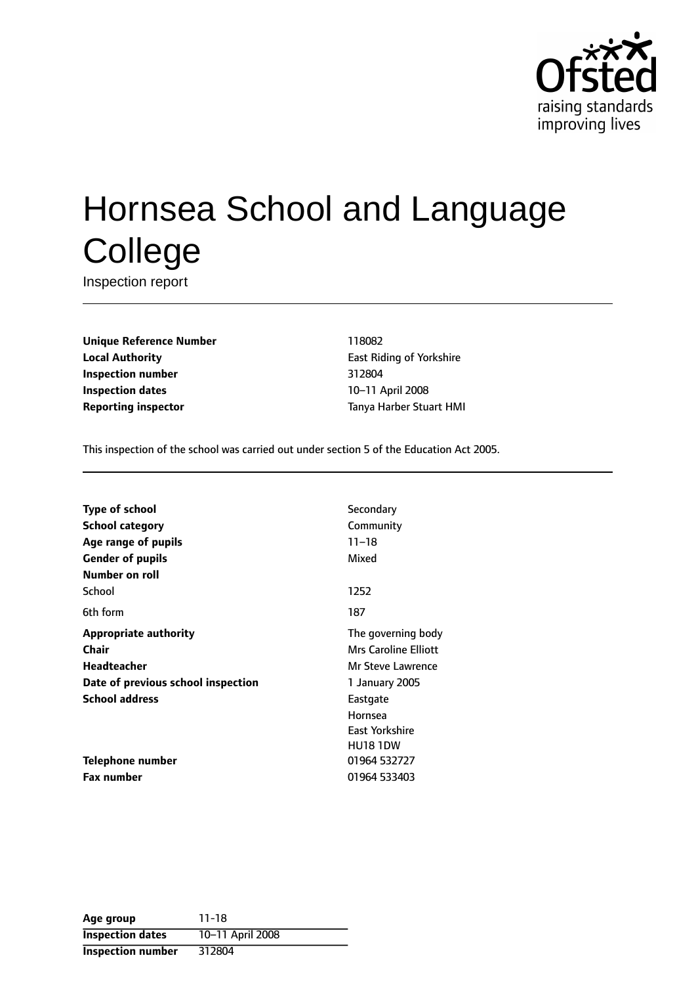

# Hornsea School and Language **College**

Inspection report

**Unique Reference Number** 118082 **Local Authority** East Riding of Yorkshire **Inspection number** 312804 **Inspection dates** 10-11 April 2008 **Reporting inspector** Tanya Harber Stuart HMI

This inspection of the school was carried out under section 5 of the Education Act 2005.

| <b>Type of school</b>              | Secondary                   |
|------------------------------------|-----------------------------|
| <b>School category</b>             | Community                   |
| Age range of pupils                | $11 - 18$                   |
| <b>Gender of pupils</b>            | Mixed                       |
| Number on roll                     |                             |
| School                             | 1252                        |
| 6th form                           | 187                         |
| <b>Appropriate authority</b>       | The governing body          |
| Chair                              | <b>Mrs Caroline Elliott</b> |
| <b>Headteacher</b>                 | Mr Steve Lawrence           |
| Date of previous school inspection | 1 January 2005              |
| <b>School address</b>              | Eastgate                    |
|                                    | Hornsea                     |
|                                    | East Yorkshire              |
|                                    | <b>HU18 1DW</b>             |
| Telephone number                   | 01964 532727                |
| <b>Fax number</b>                  | 01964 533403                |

| Age group                | $11 - 18$        |
|--------------------------|------------------|
| <b>Inspection dates</b>  | 10-11 April 2008 |
| <b>Inspection number</b> | 312804           |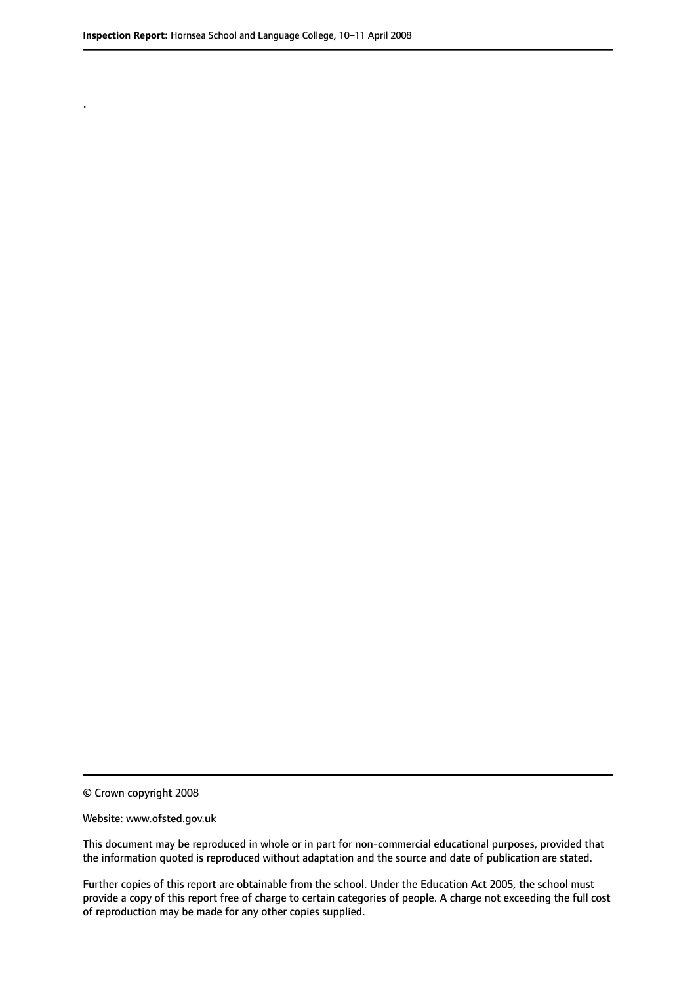.

© Crown copyright 2008

#### Website: www.ofsted.gov.uk

This document may be reproduced in whole or in part for non-commercial educational purposes, provided that the information quoted is reproduced without adaptation and the source and date of publication are stated.

Further copies of this report are obtainable from the school. Under the Education Act 2005, the school must provide a copy of this report free of charge to certain categories of people. A charge not exceeding the full cost of reproduction may be made for any other copies supplied.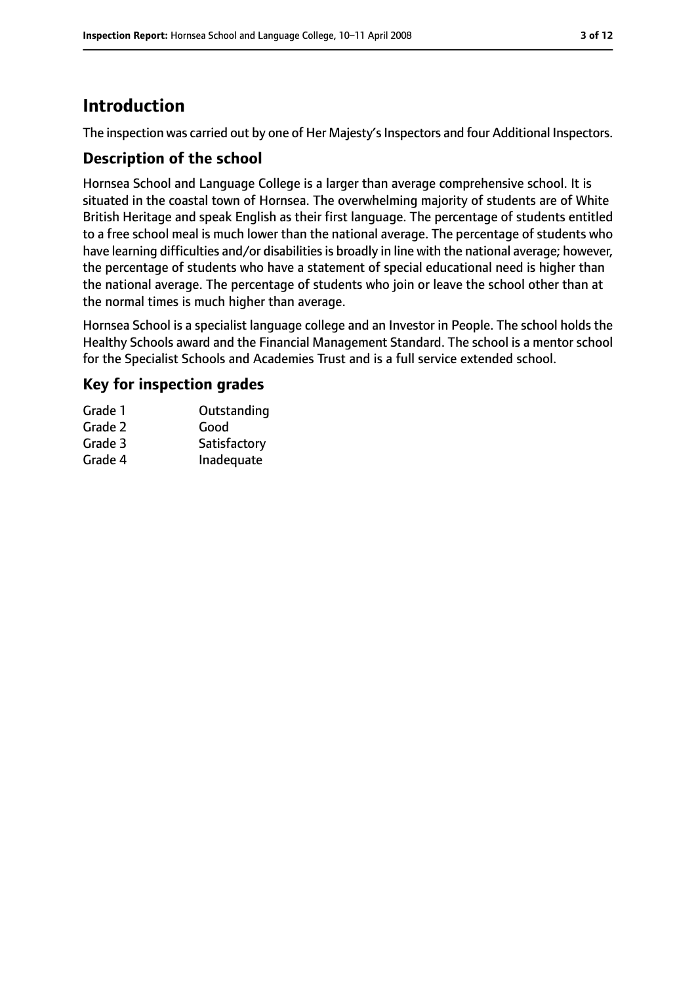# **Introduction**

The inspection was carried out by one of Her Majesty's Inspectors and four Additional Inspectors.

## **Description of the school**

Hornsea School and Language College is a larger than average comprehensive school. It is situated in the coastal town of Hornsea. The overwhelming majority of students are of White British Heritage and speak English as their first language. The percentage of students entitled to a free school meal is much lower than the national average. The percentage of students who have learning difficulties and/or disabilities is broadly in line with the national average; however, the percentage of students who have a statement of special educational need is higher than the national average. The percentage of students who join or leave the school other than at the normal times is much higher than average.

Hornsea School is a specialist language college and an Investor in People. The school holds the Healthy Schools award and the Financial Management Standard. The school is a mentor school for the Specialist Schools and Academies Trust and is a full service extended school.

## **Key for inspection grades**

| Grade 1 | Outstanding  |
|---------|--------------|
| Grade 2 | Good         |
| Grade 3 | Satisfactory |
| Grade 4 | Inadequate   |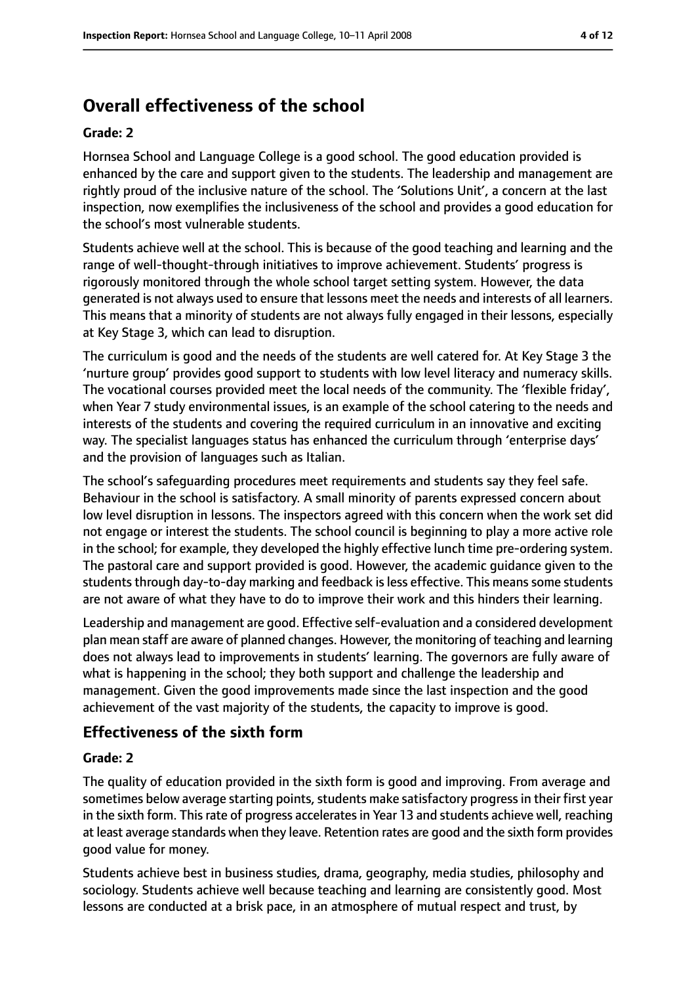# **Overall effectiveness of the school**

#### **Grade: 2**

Hornsea School and Language College is a good school. The good education provided is enhanced by the care and support given to the students. The leadership and management are rightly proud of the inclusive nature of the school. The 'Solutions Unit', a concern at the last inspection, now exemplifies the inclusiveness of the school and provides a good education for the school's most vulnerable students.

Students achieve well at the school. This is because of the good teaching and learning and the range of well-thought-through initiatives to improve achievement. Students' progress is rigorously monitored through the whole school target setting system. However, the data generated is not always used to ensure that lessons meet the needs and interests of all learners. This means that a minority of students are not always fully engaged in their lessons, especially at Key Stage 3, which can lead to disruption.

The curriculum is good and the needs of the students are well catered for. At Key Stage 3 the 'nurture group' provides good support to students with low level literacy and numeracy skills. The vocational courses provided meet the local needs of the community. The 'flexible friday', when Year 7 study environmental issues, is an example of the school catering to the needs and interests of the students and covering the required curriculum in an innovative and exciting way. The specialist languages status has enhanced the curriculum through 'enterprise days' and the provision of languages such as Italian.

The school's safeguarding procedures meet requirements and students say they feel safe. Behaviour in the school is satisfactory. A small minority of parents expressed concern about low level disruption in lessons. The inspectors agreed with this concern when the work set did not engage or interest the students. The school council is beginning to play a more active role in the school; for example, they developed the highly effective lunch time pre-ordering system. The pastoral care and support provided is good. However, the academic guidance given to the students through day-to-day marking and feedback is less effective. This means some students are not aware of what they have to do to improve their work and this hinders their learning.

Leadership and management are good. Effective self-evaluation and a considered development plan mean staff are aware of planned changes. However, the monitoring of teaching and learning does not always lead to improvements in students' learning. The governors are fully aware of what is happening in the school; they both support and challenge the leadership and management. Given the good improvements made since the last inspection and the good achievement of the vast majority of the students, the capacity to improve is good.

## **Effectiveness of the sixth form**

## **Grade: 2**

The quality of education provided in the sixth form is good and improving. From average and sometimes below average starting points, students make satisfactory progress in their first year in the sixth form. This rate of progress accelerates in Year 13 and students achieve well, reaching at least average standards when they leave. Retention rates are good and the sixth form provides good value for money.

Students achieve best in business studies, drama, geography, media studies, philosophy and sociology. Students achieve well because teaching and learning are consistently good. Most lessons are conducted at a brisk pace, in an atmosphere of mutual respect and trust, by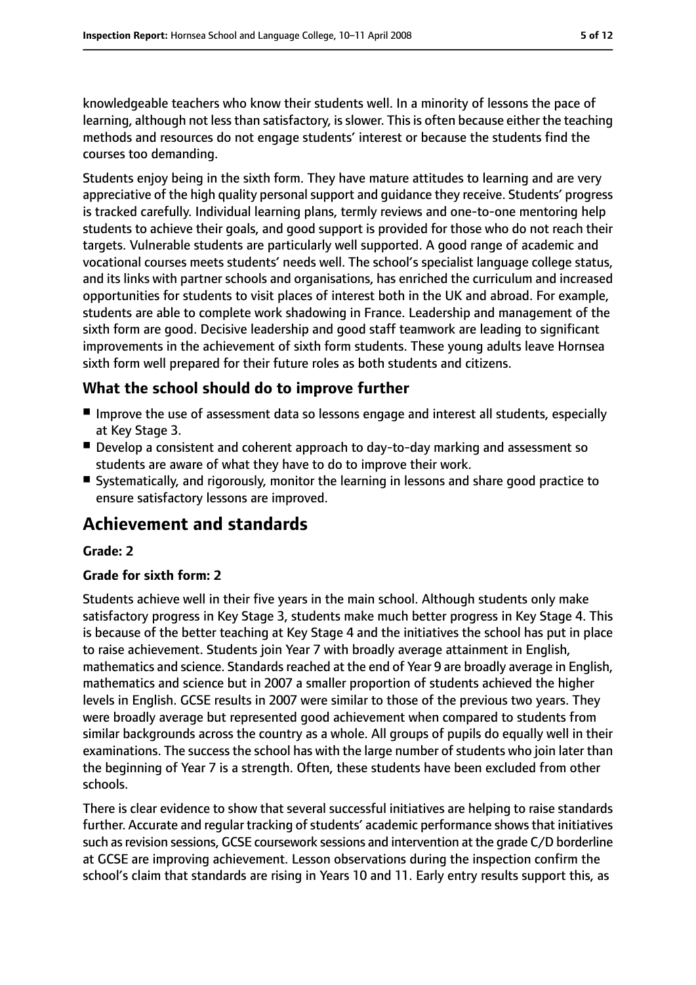knowledgeable teachers who know their students well. In a minority of lessons the pace of learning, although not less than satisfactory, is slower. This is often because either the teaching methods and resources do not engage students' interest or because the students find the courses too demanding.

Students enjoy being in the sixth form. They have mature attitudes to learning and are very appreciative of the high quality personal support and guidance they receive. Students' progress is tracked carefully. Individual learning plans, termly reviews and one-to-one mentoring help students to achieve their goals, and good support is provided for those who do not reach their targets. Vulnerable students are particularly well supported. A good range of academic and vocational courses meets students' needs well. The school's specialist language college status, and its links with partner schools and organisations, has enriched the curriculum and increased opportunities for students to visit places of interest both in the UK and abroad. For example, students are able to complete work shadowing in France. Leadership and management of the sixth form are good. Decisive leadership and good staff teamwork are leading to significant improvements in the achievement of sixth form students. These young adults leave Hornsea sixth form well prepared for their future roles as both students and citizens.

## **What the school should do to improve further**

- Improve the use of assessment data so lessons engage and interest all students, especially at Key Stage 3.
- Develop a consistent and coherent approach to day-to-day marking and assessment so students are aware of what they have to do to improve their work.
- Systematically, and rigorously, monitor the learning in lessons and share good practice to ensure satisfactory lessons are improved.

# **Achievement and standards**

#### **Grade: 2**

#### **Grade for sixth form: 2**

Students achieve well in their five years in the main school. Although students only make satisfactory progress in Key Stage 3, students make much better progress in Key Stage 4. This is because of the better teaching at Key Stage 4 and the initiatives the school has put in place to raise achievement. Students join Year 7 with broadly average attainment in English, mathematics and science. Standards reached at the end of Year 9 are broadly average in English, mathematics and science but in 2007 a smaller proportion of students achieved the higher levels in English. GCSE results in 2007 were similar to those of the previous two years. They were broadly average but represented good achievement when compared to students from similar backgrounds across the country as a whole. All groups of pupils do equally well in their examinations. The success the school has with the large number of students who join later than the beginning of Year 7 is a strength. Often, these students have been excluded from other schools.

There is clear evidence to show that several successful initiatives are helping to raise standards further. Accurate and regular tracking of students' academic performance shows that initiatives such as revision sessions, GCSE coursework sessions and intervention at the grade C/D borderline at GCSE are improving achievement. Lesson observations during the inspection confirm the school's claim that standards are rising in Years 10 and 11. Early entry results support this, as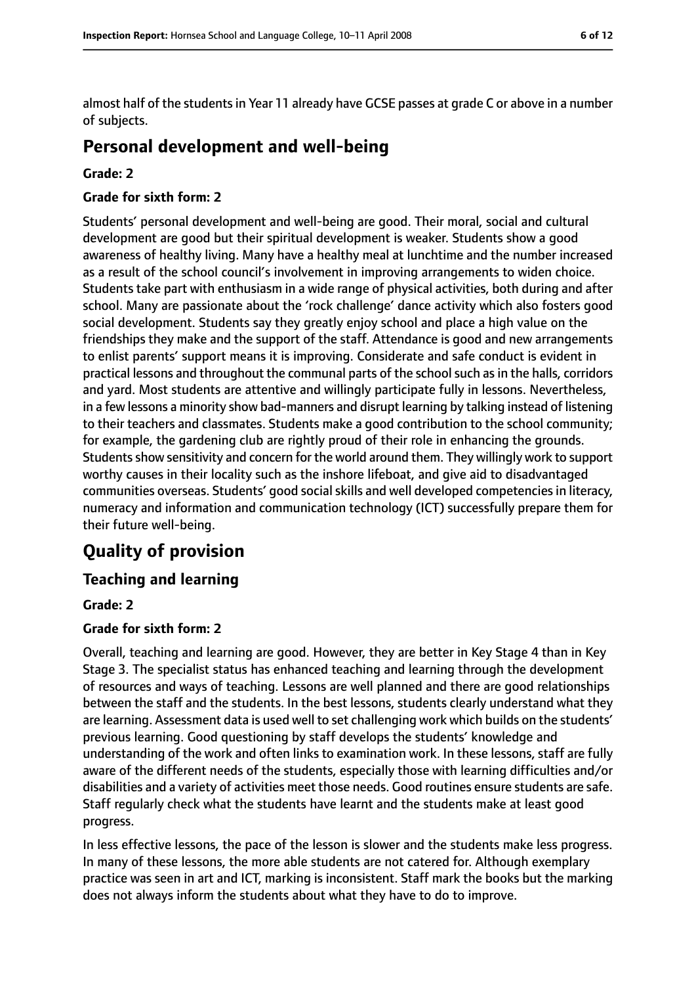almost half of the students in Year 11 already have GCSE passes at grade C or above in a number of subjects.

## **Personal development and well-being**

#### **Grade: 2**

#### **Grade for sixth form: 2**

Students' personal development and well-being are good. Their moral, social and cultural development are good but their spiritual development is weaker. Students show a good awareness of healthy living. Many have a healthy meal at lunchtime and the number increased as a result of the school council's involvement in improving arrangements to widen choice. Students take part with enthusiasm in a wide range of physical activities, both during and after school. Many are passionate about the 'rock challenge' dance activity which also fosters good social development. Students say they greatly enjoy school and place a high value on the friendships they make and the support of the staff. Attendance is good and new arrangements to enlist parents' support means it is improving. Considerate and safe conduct is evident in practical lessons and throughout the communal parts of the school such as in the halls, corridors and yard. Most students are attentive and willingly participate fully in lessons. Nevertheless, in a few lessons a minority show bad-manners and disrupt learning by talking instead of listening to their teachers and classmates. Students make a good contribution to the school community; for example, the gardening club are rightly proud of their role in enhancing the grounds. Students show sensitivity and concern for the world around them. They willingly work to support worthy causes in their locality such as the inshore lifeboat, and give aid to disadvantaged communities overseas. Students' good social skills and well developed competencies in literacy, numeracy and information and communication technology (ICT) successfully prepare them for their future well-being.

# **Quality of provision**

## **Teaching and learning**

#### **Grade: 2**

#### **Grade for sixth form: 2**

Overall, teaching and learning are good. However, they are better in Key Stage 4 than in Key Stage 3. The specialist status has enhanced teaching and learning through the development of resources and ways of teaching. Lessons are well planned and there are good relationships between the staff and the students. In the best lessons, students clearly understand what they are learning. Assessment data is used well to set challenging work which builds on the students' previous learning. Good questioning by staff develops the students' knowledge and understanding of the work and often links to examination work. In these lessons, staff are fully aware of the different needs of the students, especially those with learning difficulties and/or disabilities and a variety of activities meet those needs. Good routines ensure students are safe. Staff regularly check what the students have learnt and the students make at least good progress.

In less effective lessons, the pace of the lesson is slower and the students make less progress. In many of these lessons, the more able students are not catered for. Although exemplary practice was seen in art and ICT, marking is inconsistent. Staff mark the books but the marking does not always inform the students about what they have to do to improve.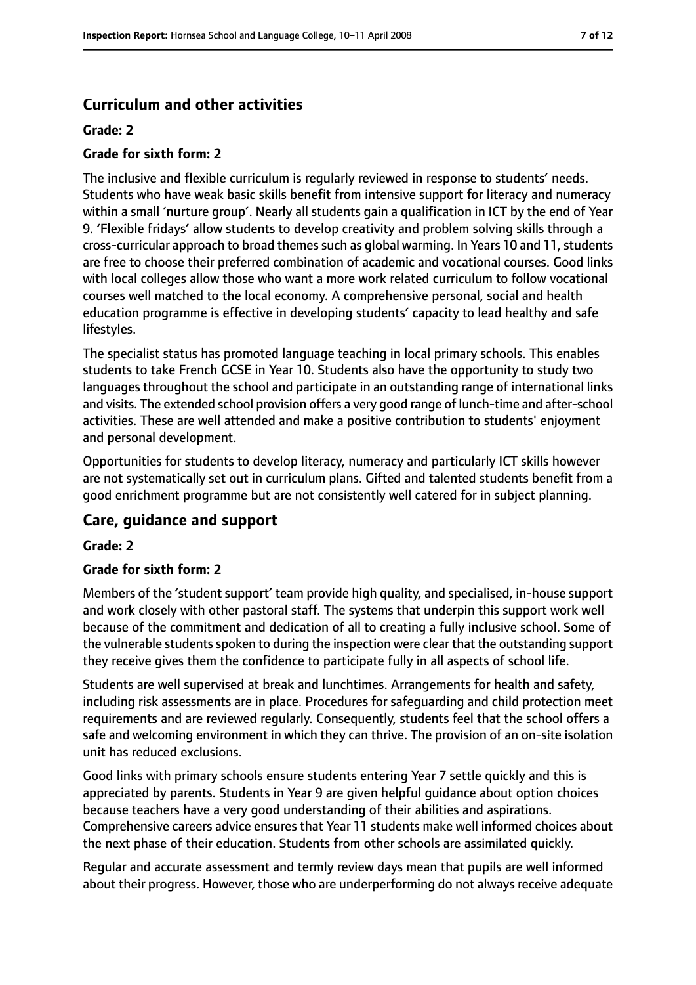## **Curriculum and other activities**

#### **Grade: 2**

#### **Grade for sixth form: 2**

The inclusive and flexible curriculum is regularly reviewed in response to students' needs. Students who have weak basic skills benefit from intensive support for literacy and numeracy within a small 'nurture group'. Nearly all students gain a qualification in ICT by the end of Year 9. 'Flexible fridays' allow students to develop creativity and problem solving skills through a cross-curricular approach to broad themes such as global warming. In Years 10 and 11, students are free to choose their preferred combination of academic and vocational courses. Good links with local colleges allow those who want a more work related curriculum to follow vocational courses well matched to the local economy. A comprehensive personal, social and health education programme is effective in developing students' capacity to lead healthy and safe lifestyles.

The specialist status has promoted language teaching in local primary schools. This enables students to take French GCSE in Year 10. Students also have the opportunity to study two languages throughout the school and participate in an outstanding range of international links and visits. The extended school provision offers a very good range of lunch-time and after-school activities. These are well attended and make a positive contribution to students' enjoyment and personal development.

Opportunities for students to develop literacy, numeracy and particularly ICT skills however are not systematically set out in curriculum plans. Gifted and talented students benefit from a good enrichment programme but are not consistently well catered for in subject planning.

#### **Care, guidance and support**

#### **Grade: 2**

#### **Grade for sixth form: 2**

Members of the 'student support' team provide high quality, and specialised, in-house support and work closely with other pastoral staff. The systems that underpin this support work well because of the commitment and dedication of all to creating a fully inclusive school. Some of the vulnerable students spoken to during the inspection were clear that the outstanding support they receive gives them the confidence to participate fully in all aspects of school life.

Students are well supervised at break and lunchtimes. Arrangements for health and safety, including risk assessments are in place. Procedures for safeguarding and child protection meet requirements and are reviewed regularly. Consequently, students feel that the school offers a safe and welcoming environment in which they can thrive. The provision of an on-site isolation unit has reduced exclusions.

Good links with primary schools ensure students entering Year 7 settle quickly and this is appreciated by parents. Students in Year 9 are given helpful guidance about option choices because teachers have a very good understanding of their abilities and aspirations. Comprehensive careers advice ensures that Year 11 students make well informed choices about the next phase of their education. Students from other schools are assimilated quickly.

Regular and accurate assessment and termly review days mean that pupils are well informed about their progress. However, those who are underperforming do not always receive adequate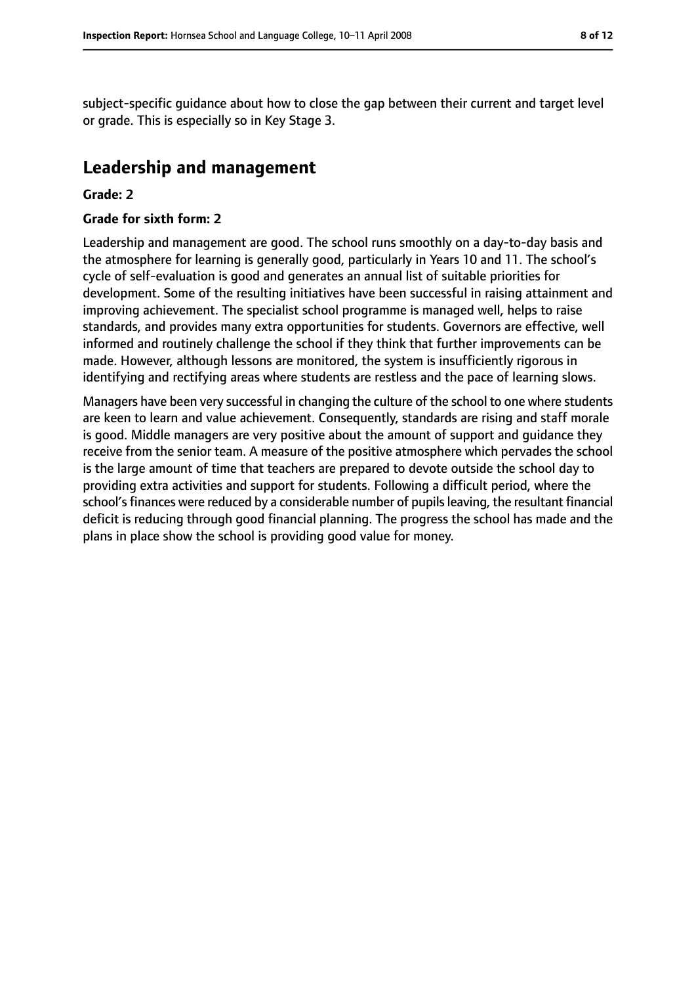subject-specific guidance about how to close the gap between their current and target level or grade. This is especially so in Key Stage 3.

# **Leadership and management**

#### **Grade: 2**

#### **Grade for sixth form: 2**

Leadership and management are good. The school runs smoothly on a day-to-day basis and the atmosphere for learning is generally good, particularly in Years 10 and 11. The school's cycle of self-evaluation is good and generates an annual list of suitable priorities for development. Some of the resulting initiatives have been successful in raising attainment and improving achievement. The specialist school programme is managed well, helps to raise standards, and provides many extra opportunities for students. Governors are effective, well informed and routinely challenge the school if they think that further improvements can be made. However, although lessons are monitored, the system is insufficiently rigorous in identifying and rectifying areas where students are restless and the pace of learning slows.

Managers have been very successful in changing the culture of the school to one where students are keen to learn and value achievement. Consequently, standards are rising and staff morale is good. Middle managers are very positive about the amount of support and guidance they receive from the senior team. A measure of the positive atmosphere which pervades the school is the large amount of time that teachers are prepared to devote outside the school day to providing extra activities and support for students. Following a difficult period, where the school's finances were reduced by a considerable number of pupils leaving, the resultant financial deficit is reducing through good financial planning. The progress the school has made and the plans in place show the school is providing good value for money.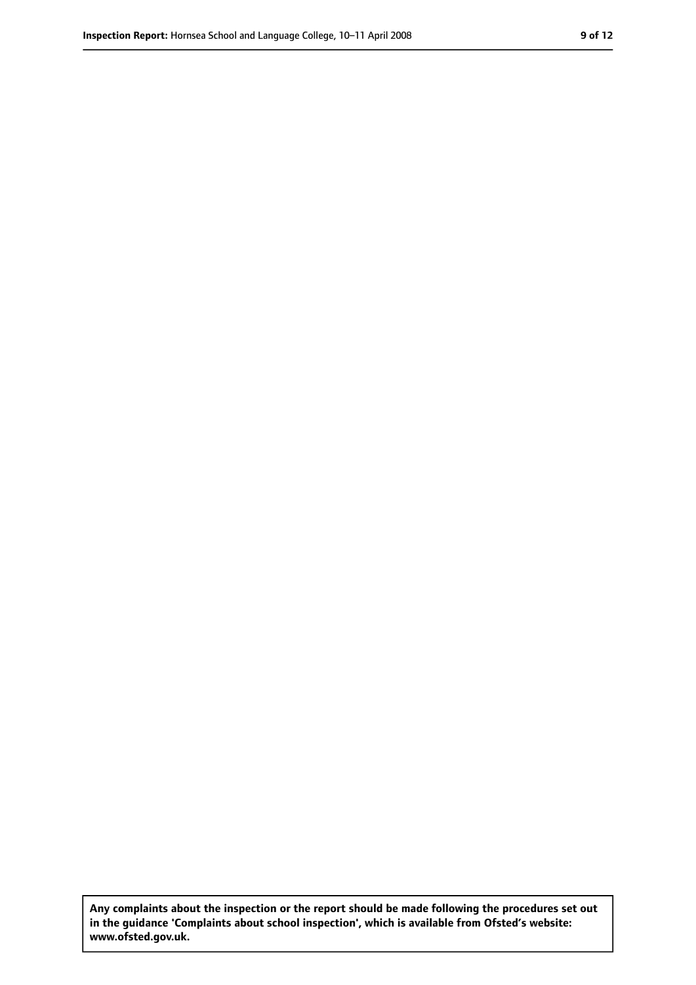**Any complaints about the inspection or the report should be made following the procedures set out in the guidance 'Complaints about school inspection', which is available from Ofsted's website: www.ofsted.gov.uk.**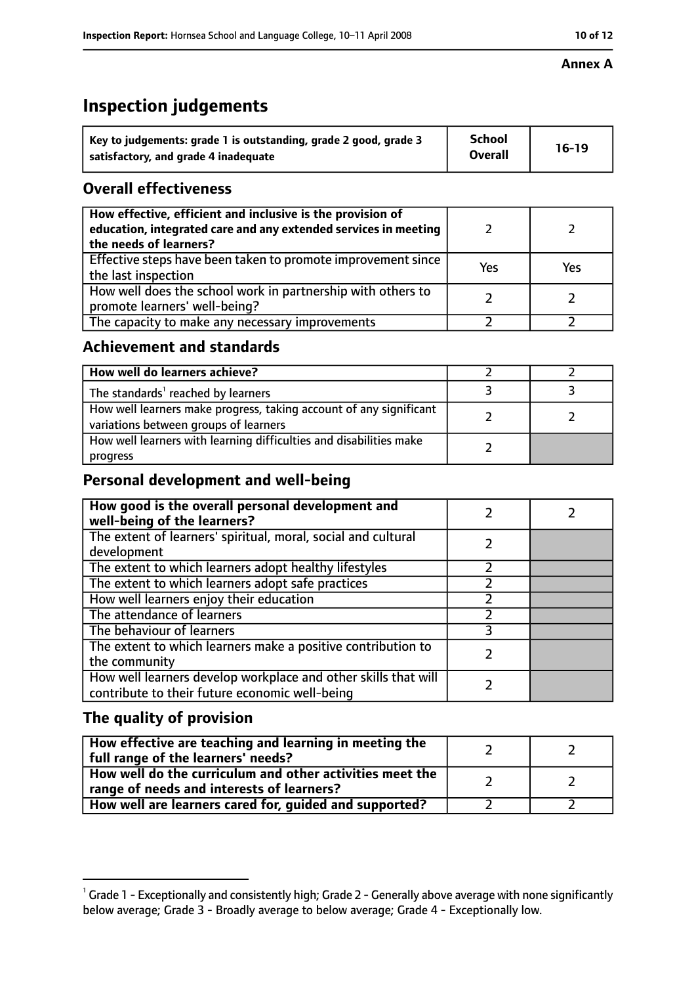#### **Annex A**

# **Inspection judgements**

| Key to judgements: grade 1 is outstanding, grade 2 good, grade 3 | School         | $16-19$ |
|------------------------------------------------------------------|----------------|---------|
| satisfactory, and grade 4 inadequate                             | <b>Overall</b> |         |

## **Overall effectiveness**

| How effective, efficient and inclusive is the provision of<br>education, integrated care and any extended services in meeting<br>the needs of learners? |     |     |
|---------------------------------------------------------------------------------------------------------------------------------------------------------|-----|-----|
| Effective steps have been taken to promote improvement since<br>the last inspection                                                                     | Yes | Yes |
| How well does the school work in partnership with others to<br>promote learners' well-being?                                                            |     |     |
| The capacity to make any necessary improvements                                                                                                         |     |     |

## **Achievement and standards**

| How well do learners achieve?                                                                               |  |
|-------------------------------------------------------------------------------------------------------------|--|
| The standards <sup>1</sup> reached by learners                                                              |  |
| How well learners make progress, taking account of any significant<br>variations between groups of learners |  |
| How well learners with learning difficulties and disabilities make<br>progress                              |  |

## **Personal development and well-being**

| How good is the overall personal development and<br>well-being of the learners?                                  |  |
|------------------------------------------------------------------------------------------------------------------|--|
| The extent of learners' spiritual, moral, social and cultural<br>development                                     |  |
| The extent to which learners adopt healthy lifestyles                                                            |  |
| The extent to which learners adopt safe practices                                                                |  |
| How well learners enjoy their education                                                                          |  |
| The attendance of learners                                                                                       |  |
| The behaviour of learners                                                                                        |  |
| The extent to which learners make a positive contribution to<br>the community                                    |  |
| How well learners develop workplace and other skills that will<br>contribute to their future economic well-being |  |

# **The quality of provision**

| How effective are teaching and learning in meeting the<br>full range of the learners' needs?          |  |
|-------------------------------------------------------------------------------------------------------|--|
| How well do the curriculum and other activities meet the<br>range of needs and interests of learners? |  |
| How well are learners cared for, guided and supported?                                                |  |

 $^1$  Grade 1 - Exceptionally and consistently high; Grade 2 - Generally above average with none significantly below average; Grade 3 - Broadly average to below average; Grade 4 - Exceptionally low.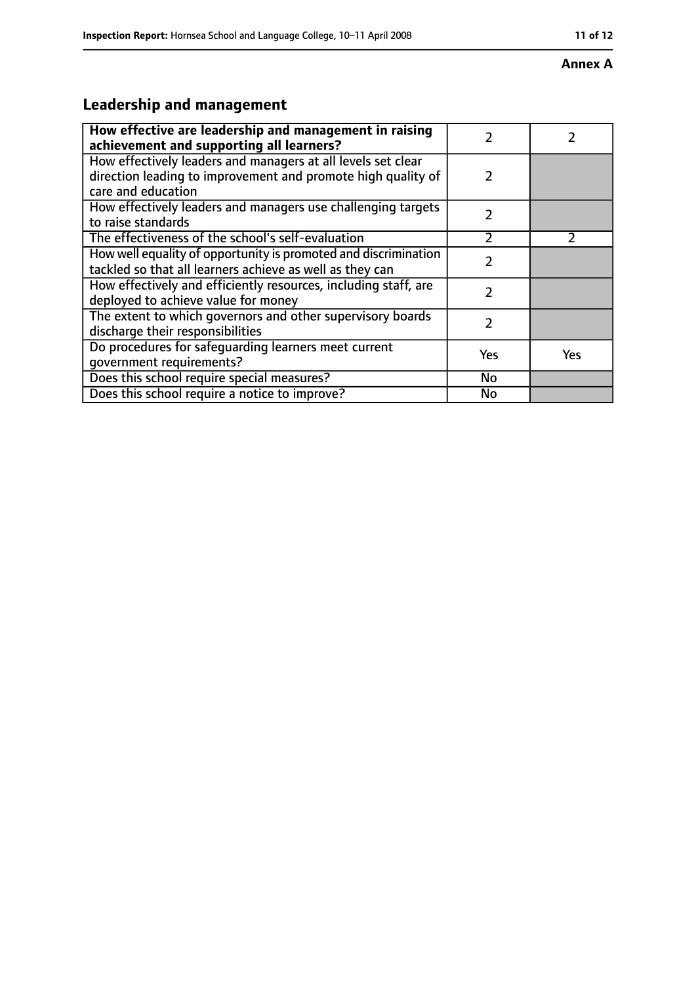#### **Annex A**

# **Leadership and management**

| How effective are leadership and management in raising<br>achievement and supporting all learners?                                                 | 7             |               |
|----------------------------------------------------------------------------------------------------------------------------------------------------|---------------|---------------|
| How effectively leaders and managers at all levels set clear<br>direction leading to improvement and promote high quality of<br>care and education | $\mathcal{P}$ |               |
| How effectively leaders and managers use challenging targets<br>to raise standards                                                                 | $\mathcal{P}$ |               |
| The effectiveness of the school's self-evaluation                                                                                                  | $\mathcal{P}$ | $\mathcal{P}$ |
| How well equality of opportunity is promoted and discrimination<br>tackled so that all learners achieve as well as they can                        | 7             |               |
| How effectively and efficiently resources, including staff, are<br>deployed to achieve value for money                                             | 7             |               |
| The extent to which governors and other supervisory boards<br>discharge their responsibilities                                                     | 2             |               |
| Do procedures for safequarding learners meet current<br>qovernment requirements?                                                                   | Yes           | <b>Yes</b>    |
| Does this school require special measures?                                                                                                         | No            |               |
| Does this school require a notice to improve?                                                                                                      | No            |               |